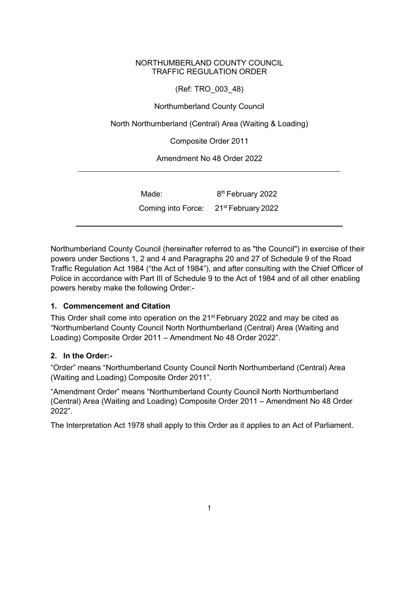### NORTHUMBERLAND COUNTY COUNCIL TRAFFIC REGULATION ORDER

(Ref: TRO\_003\_48)

Northumberland County Council

North Northumberland (Central) Area (Waiting & Loading)

Composite Order 2011

Amendment No 48 Order 2022

| Made:                                             | 8 <sup>th</sup> February 2022 |
|---------------------------------------------------|-------------------------------|
| Coming into Force: 21 <sup>st</sup> February 2022 |                               |

Northumberland County Council (hereinafter referred to as "the Council") in exercise of their powers under Sections 1, 2 and 4 and Paragraphs 20 and 27 of Schedule 9 of the Road Traffic Regulation Act 1984 ("the Act of 1984"), and after consulting with the Chief Officer of Police in accordance with Part III of Schedule 9 to the Act of 1984 and of all other enabling powers hereby make the following Order:-

## **1. Commencement and Citation**

This Order shall come into operation on the 21<sup>st</sup> February 2022 and may be cited as "Northumberland County Council North Northumberland (Central) Area (Waiting and Loading) Composite Order 2011 – Amendment No 48 Order 2022".

#### **2. In the Order:-**

"Order" means "Northumberland County Council North Northumberland (Central) Area (Waiting and Loading) Composite Order 2011".

"Amendment Order" means "Northumberland County Council North Northumberland (Central) Area (Waiting and Loading) Composite Order 2011 – Amendment No 48 Order 2022".

The Interpretation Act 1978 shall apply to this Order as it applies to an Act of Parliament.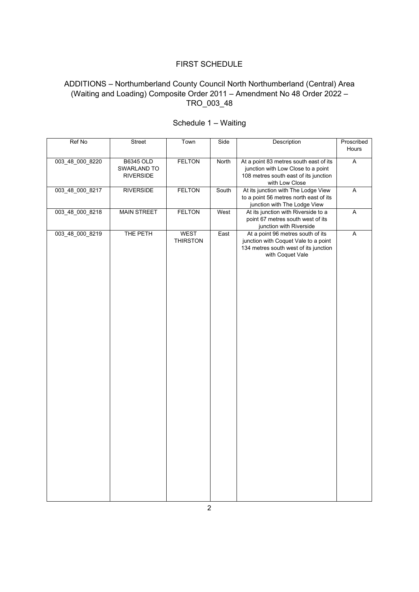## FIRST SCHEDULE

## ADDITIONS – Northumberland County Council North Northumberland (Central) Area (Waiting and Loading) Composite Order 2011 – Amendment No 48 Order 2022 – TRO\_003\_48

| Ref No          | Street                                              | Town                    | Side  | Description                                                                                                                             | Proscribed<br>Hours |
|-----------------|-----------------------------------------------------|-------------------------|-------|-----------------------------------------------------------------------------------------------------------------------------------------|---------------------|
| 003_48_000_8220 | <b>B6345 OLD</b><br>SWARLAND TO<br><b>RIVERSIDE</b> | <b>FELTON</b>           | North | At a point 83 metres south east of its<br>junction with Low Close to a point<br>108 metres south east of its junction<br>with Low Close | Α                   |
| 003_48_000_8217 | <b>RIVERSIDE</b>                                    | <b>FELTON</b>           | South | At its junction with The Lodge View<br>to a point 56 metres north east of its<br>junction with The Lodge View                           | A                   |
| 003_48_000_8218 | <b>MAIN STREET</b>                                  | <b>FELTON</b>           | West  | At its junction with Riverside to a<br>point 67 metres south west of its<br>junction with Riverside                                     | А                   |
| 003_48_000_8219 | THE PETH                                            | WEST<br><b>THIRSTON</b> | East  | At a point 96 metres south of its<br>junction with Coquet Vale to a point<br>134 metres south west of its junction<br>with Coquet Vale  | A                   |

# Schedule 1 – Waiting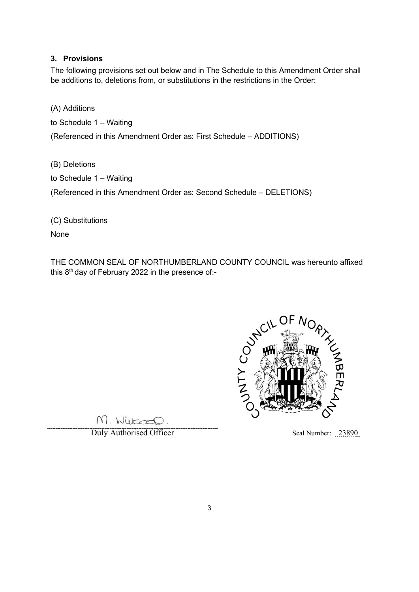### **3. Provisions**

The following provisions set out below and in The Schedule to this Amendment Order shall be additions to, deletions from, or substitutions in the restrictions in the Order:

(A) Additions to Schedule 1 – Waiting (Referenced in this Amendment Order as: First Schedule – ADDITIONS)

(B) Deletions

to Schedule 1 – Waiting

(Referenced in this Amendment Order as: Second Schedule – DELETIONS)

(C) Substitutions

None

THE COMMON SEAL OF NORTHUMBERLAND COUNTY COUNCIL was hereunto affixed this  $8<sup>th</sup>$  day of February 2022 in the presence of:-



M. Willcoco.

**Duly Authorised Officer** Seal Number: 23890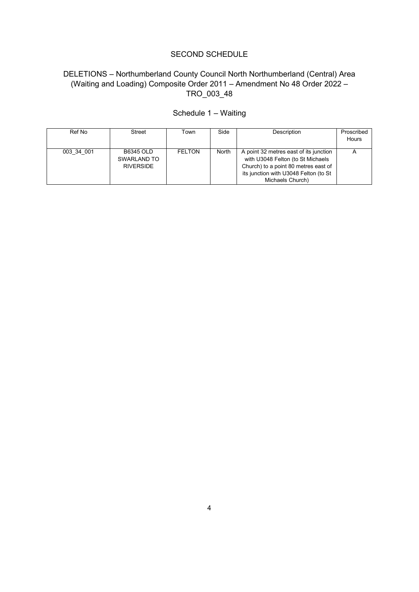## SECOND SCHEDULE

### DELETIONS – Northumberland County Council North Northumberland (Central) Area (Waiting and Loading) Composite Order 2011 – Amendment No 48 Order 2022 – TRO\_003\_48

| Ref No     | Street                                       | Town          | Side  | Description                                                                                                                                                                      | Proscribed<br>Hours |
|------------|----------------------------------------------|---------------|-------|----------------------------------------------------------------------------------------------------------------------------------------------------------------------------------|---------------------|
| 003 34 001 | B6345 OLD<br>SWARLAND TO<br><b>RIVERSIDE</b> | <b>FELTON</b> | North | A point 32 metres east of its junction<br>with U3048 Felton (to St Michaels<br>Church) to a point 80 metres east of<br>its junction with U3048 Felton (to St<br>Michaels Church) |                     |

## Schedule 1 – Waiting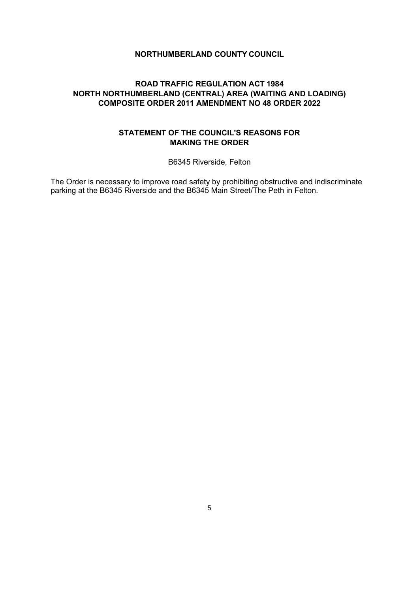#### **NORTHUMBERLAND COUNTY COUNCIL**

## **ROAD TRAFFIC REGULATION ACT 1984 NORTH NORTHUMBERLAND (CENTRAL) AREA (WAITING AND LOADING) COMPOSITE ORDER 2011 AMENDMENT NO 48 ORDER 2022**

## **STATEMENT OF THE COUNCIL'S REASONS FOR MAKING THE ORDER**

B6345 Riverside, Felton

The Order is necessary to improve road safety by prohibiting obstructive and indiscriminate parking at the B6345 Riverside and the B6345 Main Street/The Peth in Felton.